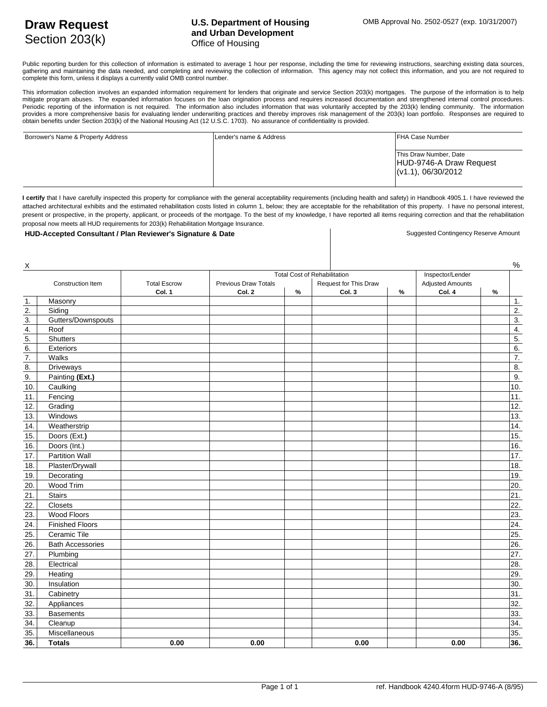## **U.S. Department of Housing and Urban Development** Office of Housing

Public reporting burden for this collection of information is estimated to average 1 hour per response, including the time for reviewing instructions, searching existing data sources, gathering and maintaining the data needed, and completing and reviewing the collection of information. This agency may not collect this information, and you are not required to complete this form, unless it displays a currently valid OMB control number.

This information collection involves an expanded information requirement for lenders that originate and service Section 203(k) mortgages. The purpose of the information is to help mitigate program abuses. The expanded information focuses on the loan origination process and requires increased documentation and strengthened internal control procedures. Periodic reporting of the information is not required. The information also includes information that was voluntarily accepted by the 203(k) lending community. The information provides a more comprehensive basis for evaluating lender underwriting practices and thereby improves risk management of the 203(k) loan portfolio. Responses are required to obtain benefits under Section 203(k) of the National Housing Act (12 U.S.C. 1703). No assurance of confidentiality is provided.

| Borrower's Name & Property Address | Lender's name & Address | <b>IFHA Case Number</b>                                                          |
|------------------------------------|-------------------------|----------------------------------------------------------------------------------|
|                                    |                         | This Draw Number, Date<br>HUD-9746-A Draw Request<br>$\sqrt{(v1.1)}, 06/30/2012$ |

I certify that I have carefully inspected this property for compliance with the general acceptability requirements (including health and safety) in Handbook 4905.1. I have reviewed the attached architectural exhibits and the estimated rehabilitation costs listed in column 1, below; they are acceptable for the rehabilitation of this property. I have no personal interest, present or prospective, in the property, applicant, or proceeds of the mortgage. To the best of my knowledge, I have reported all items requiring correction and that the rehabilitation proposal now meets all HUD requirements for 203(k) Rehabilitation Mortgage Insurance.

## HUD-Accepted Consultant / Plan Reviewer's Signature & Date Suggested Contingency Reserve Amount

| $\underline{x}$   |                         |                     |                                                                                  |      |        |      |                         |      | %                |
|-------------------|-------------------------|---------------------|----------------------------------------------------------------------------------|------|--------|------|-------------------------|------|------------------|
|                   |                         |                     | Inspector/Lender<br><b>Total Cost of Rehabilitation</b><br>Request for This Draw |      |        |      |                         |      |                  |
|                   | Construction Item       | <b>Total Escrow</b> | <b>Previous Draw Totals</b>                                                      |      |        |      | <b>Adjusted Amounts</b> |      |                  |
|                   |                         | Col. 1              | Col. 2                                                                           | $\%$ | Col. 3 | $\%$ | Col. 4                  | $\%$ |                  |
| 1.                | Masonry                 |                     |                                                                                  |      |        |      |                         |      | 1.               |
| 2.                | Siding                  |                     |                                                                                  |      |        |      |                         |      | $\overline{2}$ . |
| 3.                | Gutters/Downspouts      |                     |                                                                                  |      |        |      |                         |      | $\overline{3}$ . |
| 4.                | Roof                    |                     |                                                                                  |      |        |      |                         |      | 4.               |
| 5.                | Shutters                |                     |                                                                                  |      |        |      |                         |      | $\overline{5}$ . |
| 6.                | Exteriors               |                     |                                                                                  |      |        |      |                         |      | 6.               |
| $\overline{7}$ .  | Walks                   |                     |                                                                                  |      |        |      |                         |      | 7.               |
| 8.                | Driveways               |                     |                                                                                  |      |        |      |                         |      | $\overline{8}$ . |
| 9.                | Painting (Ext.)         |                     |                                                                                  |      |        |      |                         |      | $\overline{9}$ . |
| 10.               | Caulking                |                     |                                                                                  |      |        |      |                         |      | 10.              |
| 11.               | Fencing                 |                     |                                                                                  |      |        |      |                         |      | 11.              |
| 12.               | Grading                 |                     |                                                                                  |      |        |      |                         |      | 12.              |
| 13.               | Windows                 |                     |                                                                                  |      |        |      |                         |      | 13.              |
| 14.               | Weatherstrip            |                     |                                                                                  |      |        |      |                         |      | 14.              |
| 15.               | Doors (Ext.)            |                     |                                                                                  |      |        |      |                         |      | 15.              |
| 16.               | Doors (Int.)            |                     |                                                                                  |      |        |      |                         |      | 16.              |
| 17.               | <b>Partition Wall</b>   |                     |                                                                                  |      |        |      |                         |      | 17.              |
| 18.               | Plaster/Drywall         |                     |                                                                                  |      |        |      |                         |      | 18.              |
| 19.               | Decorating              |                     |                                                                                  |      |        |      |                         |      | 19.              |
| 20.               | Wood Trim               |                     |                                                                                  |      |        |      |                         |      | 20.              |
| 21.               | <b>Stairs</b>           |                     |                                                                                  |      |        |      |                         |      | $\overline{21}$  |
| 22.               | Closets                 |                     |                                                                                  |      |        |      |                         |      | $\overline{22}$  |
| $\overline{23}$ . | Wood Floors             |                     |                                                                                  |      |        |      |                         |      | 23.              |
| $\overline{24}$   | <b>Finished Floors</b>  |                     |                                                                                  |      |        |      |                         |      | $\overline{24}$  |
| 25.               | Ceramic Tile            |                     |                                                                                  |      |        |      |                         |      | 25.              |
| 26.               | <b>Bath Accessories</b> |                     |                                                                                  |      |        |      |                         |      | 26.              |
| 27.               | Plumbing                |                     |                                                                                  |      |        |      |                         |      | 27.              |
| 28.               | Electrical              |                     |                                                                                  |      |        |      |                         |      | 28.              |
| 29.               | Heating                 |                     |                                                                                  |      |        |      |                         |      | 29.              |
| 30.               | Insulation              |                     |                                                                                  |      |        |      |                         |      | 30.              |
| 31.               | Cabinetry               |                     |                                                                                  |      |        |      |                         |      | 31.              |
| 32.               |                         |                     |                                                                                  |      |        |      |                         |      | 32.              |
| 33.               | Appliances              |                     |                                                                                  |      |        |      |                         |      | 33.              |
|                   | <b>Basements</b>        |                     |                                                                                  |      |        |      |                         |      |                  |
| $\overline{34}$ . | Cleanup                 |                     |                                                                                  |      |        |      |                         |      | 34.              |
| $\overline{35}$   | Miscellaneous           |                     |                                                                                  |      |        |      |                         |      | 35.              |
| 36.               | <b>Totals</b>           | 0.00                | 0.00                                                                             |      | 0.00   |      | 0.00                    |      | 36.              |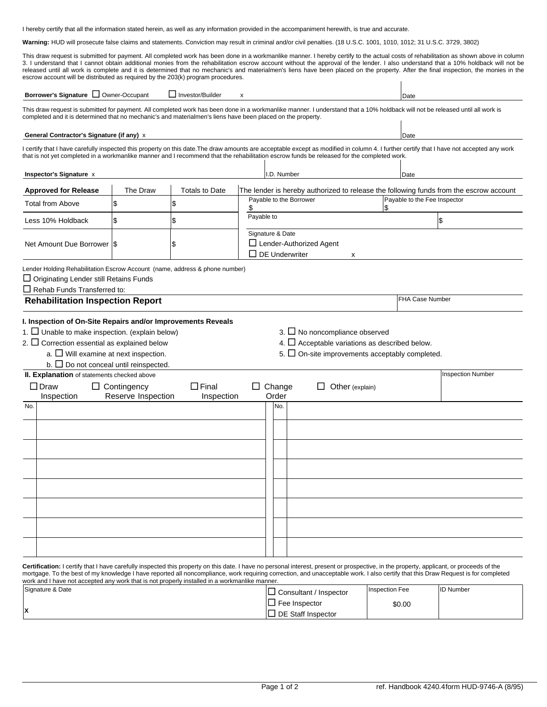I hereby certify that all the information stated herein, as well as any information provided in the accompaniment herewith, is true and accurate.

**Warning:** HUD will prosecute false claims and statements. Conviction may result in criminal and/or civil penalties. (18 U.S.C. 1001, 1010, 1012; 31 U.S.C. 3729, 3802)

This draw request is submitted for payment. All completed work has been done in a workmanlike manner. I hereby certify to the actual costs of rehabilitation as shown above in column 3. I understand that I cannot obtain additional monies from the rehabilitation escrow account without the approval of the lender. I also understand that a 10% holdback will not be released until all work is complete and it is determined that no mechanic's and materialmen's liens have been placed on the property. After the final inspection, the monies in the escrow account will be distributed as requ

| Borrower's Signature <b>Q</b> Owner-Occupant                                                                                                                                                                                                                                                 |                               | Investor/Builder      | x                                                             |                                                                         | Date                            |                                                                                                                                                                                           |
|----------------------------------------------------------------------------------------------------------------------------------------------------------------------------------------------------------------------------------------------------------------------------------------------|-------------------------------|-----------------------|---------------------------------------------------------------|-------------------------------------------------------------------------|---------------------------------|-------------------------------------------------------------------------------------------------------------------------------------------------------------------------------------------|
| This draw request is submitted for payment. All completed work has been done in a workmanlike manner. I understand that a 10% holdback will not be released until all work is<br>completed and it is determined that no mechanic's and materialmen's liens have been placed on the property. |                               |                       |                                                               |                                                                         |                                 |                                                                                                                                                                                           |
| General Contractor's Signature (if any) x                                                                                                                                                                                                                                                    |                               |                       |                                                               |                                                                         | Date                            |                                                                                                                                                                                           |
| that is not yet completed in a workmanlike manner and I recommend that the rehabilitation escrow funds be released for the completed work.                                                                                                                                                   |                               |                       |                                                               |                                                                         |                                 | I certify that I have carefully inspected this property on this date. The draw amounts are acceptable except as modified in column 4. I further certify that I have not accepted any work |
| Inspector's Signature x                                                                                                                                                                                                                                                                      |                               |                       | I.D. Number                                                   |                                                                         | Date                            |                                                                                                                                                                                           |
| <b>Approved for Release</b>                                                                                                                                                                                                                                                                  | The Draw                      | <b>Totals to Date</b> |                                                               |                                                                         |                                 | The lender is hereby authorized to release the following funds from the escrow account                                                                                                    |
| <b>Total from Above</b>                                                                                                                                                                                                                                                                      | \$                            | 1\$                   | Payable to the Fee Inspector<br>Payable to the Borrower<br>\$ |                                                                         |                                 |                                                                                                                                                                                           |
| Less 10% Holdback                                                                                                                                                                                                                                                                            | Payable to<br>\$<br>\$<br>1\$ |                       |                                                               |                                                                         |                                 |                                                                                                                                                                                           |
| Net Amount Due Borrower I\$                                                                                                                                                                                                                                                                  |                               | ß.                    | Signature & Date<br>$\Box$ DE Underwriter                     | $\Box$ Lender-Authorized Agent<br>X                                     |                                 |                                                                                                                                                                                           |
| Lender Holding Rehabilitation Escrow Account (name, address & phone number)<br>□ Originating Lender still Retains Funds                                                                                                                                                                      |                               |                       |                                                               |                                                                         |                                 |                                                                                                                                                                                           |
| $\Box$ Rehab Funds Transferred to:                                                                                                                                                                                                                                                           |                               |                       |                                                               |                                                                         |                                 |                                                                                                                                                                                           |
| <b>Rehabilitation Inspection Report</b>                                                                                                                                                                                                                                                      |                               |                       |                                                               |                                                                         |                                 | <b>FHA Case Number</b>                                                                                                                                                                    |
| $a.$ Will examine at next inspection.<br>b. $\Box$ Do not conceal until reinspected.<br>II. Explanation of statements checked above<br>$\square$ Draw                                                                                                                                        | $\Box$ Contingency            | $\Box$ Final          | $\Box$ Change                                                 | 5. $\Box$ On-site improvements acceptably completed.<br>Other (explain) |                                 | <b>Inspection Number</b>                                                                                                                                                                  |
| Inspection<br>No.                                                                                                                                                                                                                                                                            | Reserve Inspection            | Inspection            | Order<br>No.                                                  |                                                                         |                                 |                                                                                                                                                                                           |
|                                                                                                                                                                                                                                                                                              |                               |                       |                                                               |                                                                         |                                 |                                                                                                                                                                                           |
|                                                                                                                                                                                                                                                                                              |                               |                       |                                                               |                                                                         |                                 |                                                                                                                                                                                           |
| Certification: I certify that I have carefully inspected this property on this date. I have no personal interest, present or prospective, in the property, applicant, or proceeds of the                                                                                                     |                               |                       |                                                               |                                                                         |                                 |                                                                                                                                                                                           |
| work and I have not accepted any work that is not properly installed in a workmanlike manner.                                                                                                                                                                                                |                               |                       |                                                               |                                                                         |                                 | mortgage. To the best of my knowledge I have reported all noncompliance, work requiring correction, and unacceptable work. I also certify that this Draw Request is for completed         |
| Signature & Date                                                                                                                                                                                                                                                                             |                               |                       |                                                               | $\Box$ Consultant / Inspector<br>$\Box$ Fee Inspector                   | <b>Inspection Fee</b><br>\$0.00 | <b>ID Number</b>                                                                                                                                                                          |
| x                                                                                                                                                                                                                                                                                            |                               |                       |                                                               | $\Box$ DE Staff Inspector                                               |                                 |                                                                                                                                                                                           |